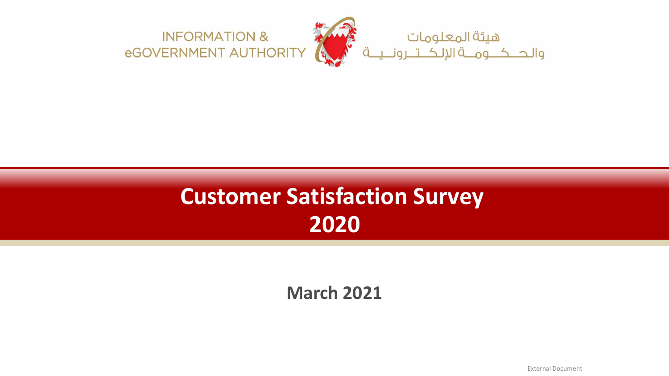

# **Customer Satisfaction Survey 2020**

**March 2021**

External Document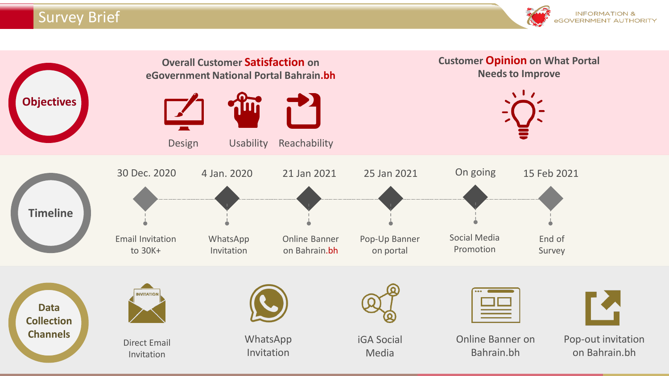#### Survey Brief



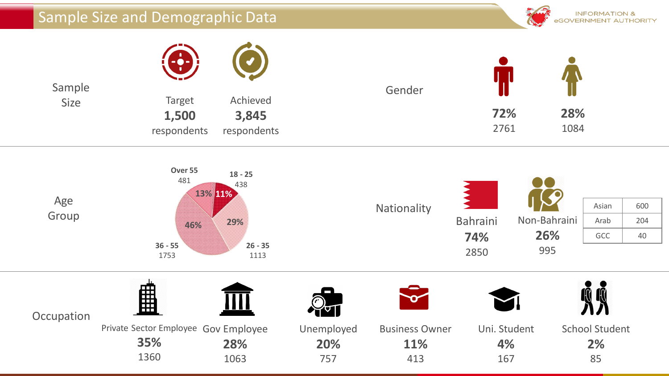### Sample Size and Demographic Data



| Sample<br>Size | $\left( -\frac{1}{2} \right)$         | $(( \bullet )$                   | Gender |             |             |  |
|----------------|---------------------------------------|----------------------------------|--------|-------------|-------------|--|
|                | <b>Target</b><br>1,500<br>respondents | Achieved<br>3,845<br>respondents |        | 72%<br>2761 | 28%<br>1084 |  |

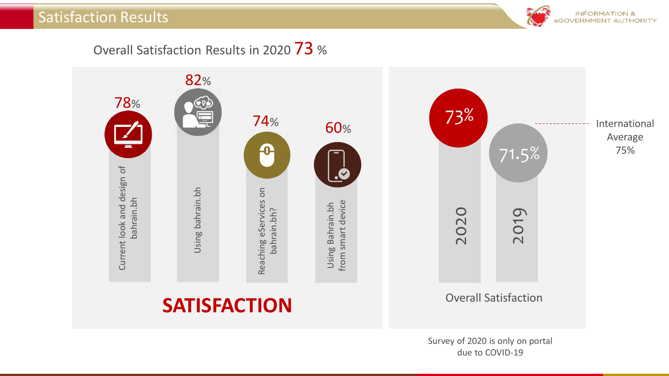#### Satisfaction Results



Overall Satisfaction Results in 2020 73 %

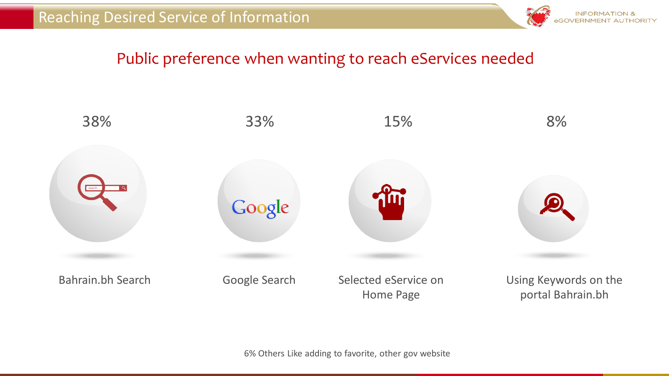

# Public preference when wanting to reach eServices needed



6% Others Like adding to favorite, other gov website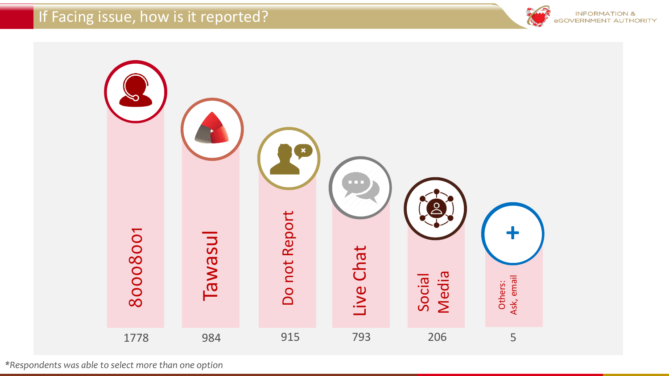# If Facing issue, how is it reported?





*\*Respondents was able to select more than one option*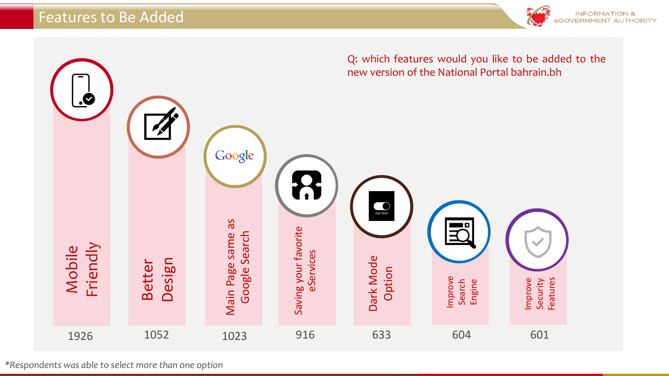



*\*Respondents was able to select more than one option*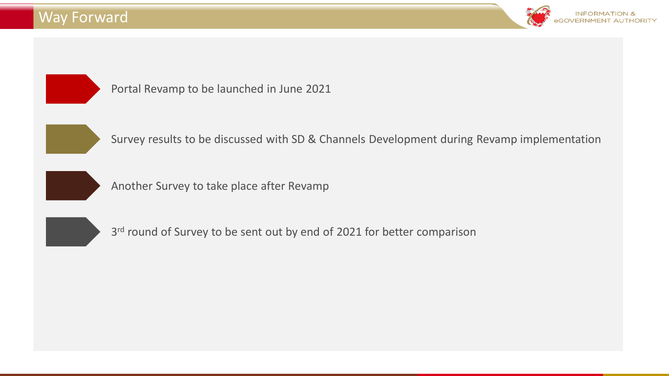#### Way Forward





Portal Revamp to be launched in June 2021



Survey results to be discussed with SD & Channels Development during Revamp implementation



Another Survey to take place after Revamp



3<sup>rd</sup> round of Survey to be sent out by end of 2021 for better comparison